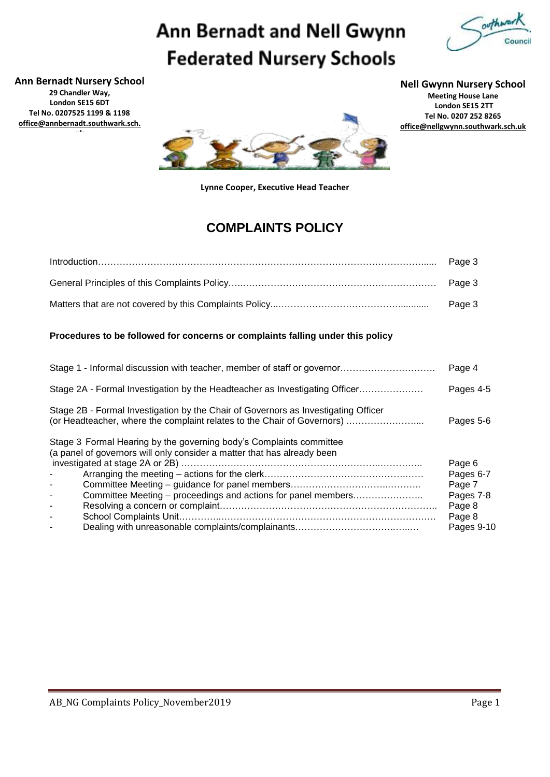# Ann Bernadt and Nell Gwynn **Federated Nursery Schools**



**Ann Bernadt Nursery School 29 Chandler Way, London SE15 6DT Tel No. 0207525 1199 & 1198 [office@annbernadt.southwark.sch.](mailto:office@annbernadt.southwark.sch.uk)**

**[uk](mailto:office@annbernadt.southwark.sch.uk)**

**Nell Gwynn Nursery School**

**Meeting House Lane London SE15 2TT Tel No. 0207 252 8265 [office@nellgwynn.southwark.sch.uk](mailto:office@nellgwynn.southwark.sch.uk)**



**Lynne Cooper, Executive Head Teacher**

### **COMPLAINTS POLICY**

### **Procedures to be followed for concerns or complaints falling under this policy**

| Stage 1 - Informal discussion with teacher, member of staff or governor                                                                                       | Page 4     |  |  |  |
|---------------------------------------------------------------------------------------------------------------------------------------------------------------|------------|--|--|--|
| Stage 2A - Formal Investigation by the Headteacher as Investigating Officer                                                                                   | Pages 4-5  |  |  |  |
| Stage 2B - Formal Investigation by the Chair of Governors as Investigating Officer<br>(or Headteacher, where the complaint relates to the Chair of Governors) |            |  |  |  |
| Stage 3 Formal Hearing by the governing body's Complaints committee<br>(a panel of governors will only consider a matter that has already been                |            |  |  |  |
|                                                                                                                                                               | Page 6     |  |  |  |
|                                                                                                                                                               | Pages 6-7  |  |  |  |
|                                                                                                                                                               | Page 7     |  |  |  |
| Committee Meeting – proceedings and actions for panel members                                                                                                 | Pages 7-8  |  |  |  |
| $\overline{\phantom{a}}$                                                                                                                                      | Page 8     |  |  |  |
|                                                                                                                                                               | Page 8     |  |  |  |
|                                                                                                                                                               | Pages 9-10 |  |  |  |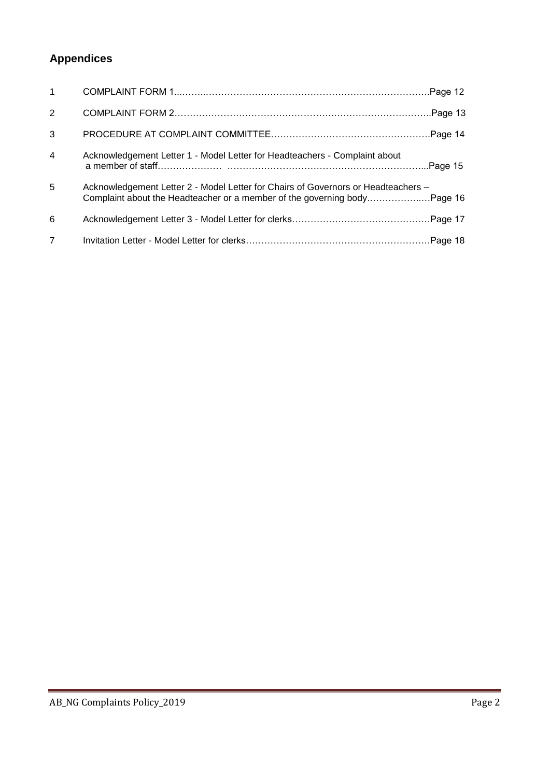## **Appendices**

| $\mathbf{1}$   |                                                                                   |  |
|----------------|-----------------------------------------------------------------------------------|--|
| 2              |                                                                                   |  |
| 3              |                                                                                   |  |
| $\overline{4}$ | Acknowledgement Letter 1 - Model Letter for Headteachers - Complaint about        |  |
| 5              | Acknowledgement Letter 2 - Model Letter for Chairs of Governors or Headteachers - |  |
| 6              |                                                                                   |  |
| $\overline{7}$ |                                                                                   |  |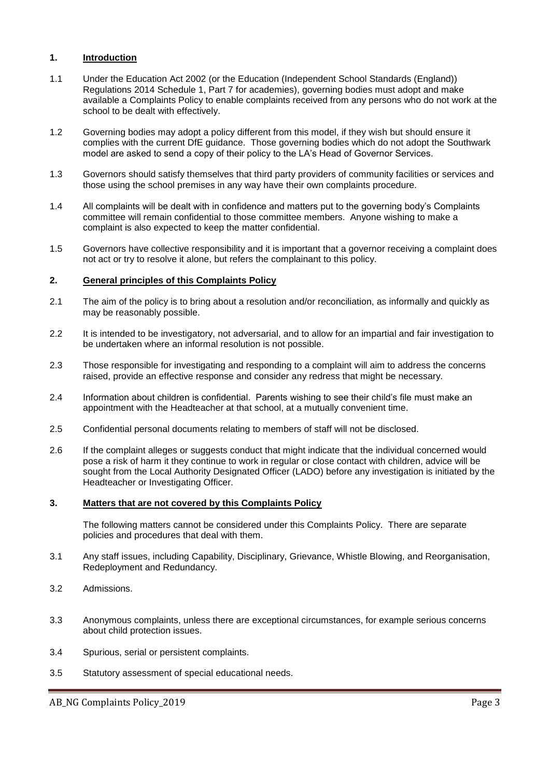### **1. Introduction**

- 1.1 Under the Education Act 2002 (or the Education (Independent School Standards (England)) Regulations 2014 Schedule 1, Part 7 for academies), governing bodies must adopt and make available a Complaints Policy to enable complaints received from any persons who do not work at the school to be dealt with effectively.
- 1.2 Governing bodies may adopt a policy different from this model, if they wish but should ensure it complies with the current DfE guidance. Those governing bodies which do not adopt the Southwark model are asked to send a copy of their policy to the LA's Head of Governor Services.
- 1.3 Governors should satisfy themselves that third party providers of community facilities or services and those using the school premises in any way have their own complaints procedure.
- 1.4 All complaints will be dealt with in confidence and matters put to the governing body's Complaints committee will remain confidential to those committee members. Anyone wishing to make a complaint is also expected to keep the matter confidential.
- 1.5 Governors have collective responsibility and it is important that a governor receiving a complaint does not act or try to resolve it alone, but refers the complainant to this policy.

### **2. General principles of this Complaints Policy**

- 2.1 The aim of the policy is to bring about a resolution and/or reconciliation, as informally and quickly as may be reasonably possible.
- 2.2 It is intended to be investigatory, not adversarial, and to allow for an impartial and fair investigation to be undertaken where an informal resolution is not possible.
- 2.3 Those responsible for investigating and responding to a complaint will aim to address the concerns raised, provide an effective response and consider any redress that might be necessary.
- 2.4 Information about children is confidential. Parents wishing to see their child's file must make an appointment with the Headteacher at that school, at a mutually convenient time.
- 2.5 Confidential personal documents relating to members of staff will not be disclosed.
- 2.6 If the complaint alleges or suggests conduct that might indicate that the individual concerned would pose a risk of harm it they continue to work in regular or close contact with children, advice will be sought from the Local Authority Designated Officer (LADO) before any investigation is initiated by the Headteacher or Investigating Officer.

### **3. Matters that are not covered by this Complaints Policy**

The following matters cannot be considered under this Complaints Policy. There are separate policies and procedures that deal with them.

- 3.1 Any staff issues, including Capability, Disciplinary, Grievance, Whistle Blowing, and Reorganisation, Redeployment and Redundancy.
- 3.2 Admissions.
- 3.3 Anonymous complaints, unless there are exceptional circumstances, for example serious concerns about child protection issues.
- 3.4 Spurious, serial or persistent complaints.
- 3.5 Statutory assessment of special educational needs.

AB\_NG Complaints Policy\_2019 Page 3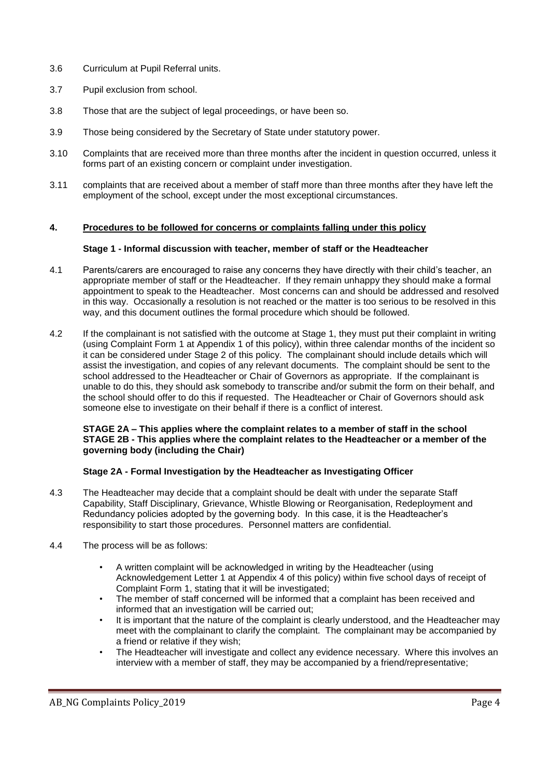- 3.6 Curriculum at Pupil Referral units.
- 3.7 Pupil exclusion from school.
- 3.8 Those that are the subject of legal proceedings, or have been so.
- 3.9 Those being considered by the Secretary of State under statutory power.
- 3.10 Complaints that are received more than three months after the incident in question occurred, unless it forms part of an existing concern or complaint under investigation.
- 3.11 complaints that are received about a member of staff more than three months after they have left the employment of the school, except under the most exceptional circumstances.

### **4. Procedures to be followed for concerns or complaints falling under this policy**

### **Stage 1 - Informal discussion with teacher, member of staff or the Headteacher**

- 4.1 Parents/carers are encouraged to raise any concerns they have directly with their child's teacher, an appropriate member of staff or the Headteacher. If they remain unhappy they should make a formal appointment to speak to the Headteacher. Most concerns can and should be addressed and resolved in this way. Occasionally a resolution is not reached or the matter is too serious to be resolved in this way, and this document outlines the formal procedure which should be followed.
- 4.2 If the complainant is not satisfied with the outcome at Stage 1, they must put their complaint in writing (using Complaint Form 1 at Appendix 1 of this policy), within three calendar months of the incident so it can be considered under Stage 2 of this policy. The complainant should include details which will assist the investigation, and copies of any relevant documents. The complaint should be sent to the school addressed to the Headteacher or Chair of Governors as appropriate. If the complainant is unable to do this, they should ask somebody to transcribe and/or submit the form on their behalf, and the school should offer to do this if requested. The Headteacher or Chair of Governors should ask someone else to investigate on their behalf if there is a conflict of interest.

### **STAGE 2A – This applies where the complaint relates to a member of staff in the school STAGE 2B - This applies where the complaint relates to the Headteacher or a member of the governing body (including the Chair)**

### **Stage 2A - Formal Investigation by the Headteacher as Investigating Officer**

- 4.3 The Headteacher may decide that a complaint should be dealt with under the separate Staff Capability, Staff Disciplinary, Grievance, Whistle Blowing or Reorganisation, Redeployment and Redundancy policies adopted by the governing body. In this case, it is the Headteacher's responsibility to start those procedures. Personnel matters are confidential.
- 4.4 The process will be as follows:
	- A written complaint will be acknowledged in writing by the Headteacher (using Acknowledgement Letter 1 at Appendix 4 of this policy) within five school days of receipt of Complaint Form 1, stating that it will be investigated;
	- The member of staff concerned will be informed that a complaint has been received and informed that an investigation will be carried out;
	- It is important that the nature of the complaint is clearly understood, and the Headteacher may meet with the complainant to clarify the complaint. The complainant may be accompanied by a friend or relative if they wish;
	- The Headteacher will investigate and collect any evidence necessary. Where this involves an interview with a member of staff, they may be accompanied by a friend/representative;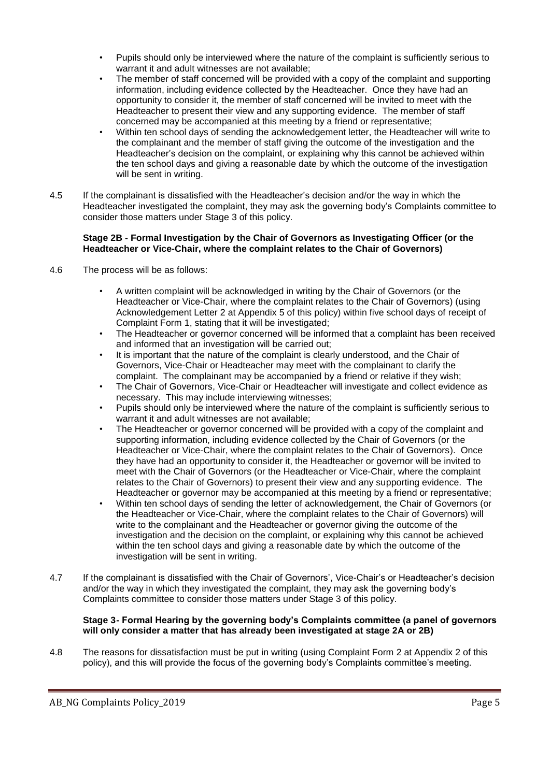- Pupils should only be interviewed where the nature of the complaint is sufficiently serious to warrant it and adult witnesses are not available;
- The member of staff concerned will be provided with a copy of the complaint and supporting information, including evidence collected by the Headteacher. Once they have had an opportunity to consider it, the member of staff concerned will be invited to meet with the Headteacher to present their view and any supporting evidence. The member of staff concerned may be accompanied at this meeting by a friend or representative;
- Within ten school days of sending the acknowledgement letter, the Headteacher will write to the complainant and the member of staff giving the outcome of the investigation and the Headteacher's decision on the complaint, or explaining why this cannot be achieved within the ten school days and giving a reasonable date by which the outcome of the investigation will be sent in writing.
- 4.5 If the complainant is dissatisfied with the Headteacher's decision and/or the way in which the Headteacher investigated the complaint, they may ask the governing body's Complaints committee to consider those matters under Stage 3 of this policy.

### **Stage 2B - Formal Investigation by the Chair of Governors as Investigating Officer (or the Headteacher or Vice-Chair, where the complaint relates to the Chair of Governors)**

- 4.6 The process will be as follows:
	- A written complaint will be acknowledged in writing by the Chair of Governors (or the Headteacher or Vice-Chair, where the complaint relates to the Chair of Governors) (using Acknowledgement Letter 2 at Appendix 5 of this policy) within five school days of receipt of Complaint Form 1, stating that it will be investigated;
	- The Headteacher or governor concerned will be informed that a complaint has been received and informed that an investigation will be carried out;
	- It is important that the nature of the complaint is clearly understood, and the Chair of Governors, Vice-Chair or Headteacher may meet with the complainant to clarify the complaint. The complainant may be accompanied by a friend or relative if they wish;
	- The Chair of Governors, Vice-Chair or Headteacher will investigate and collect evidence as necessary. This may include interviewing witnesses;
	- Pupils should only be interviewed where the nature of the complaint is sufficiently serious to warrant it and adult witnesses are not available;
	- The Headteacher or governor concerned will be provided with a copy of the complaint and supporting information, including evidence collected by the Chair of Governors (or the Headteacher or Vice-Chair, where the complaint relates to the Chair of Governors). Once they have had an opportunity to consider it, the Headteacher or governor will be invited to meet with the Chair of Governors (or the Headteacher or Vice-Chair, where the complaint relates to the Chair of Governors) to present their view and any supporting evidence. The Headteacher or governor may be accompanied at this meeting by a friend or representative;
	- Within ten school days of sending the letter of acknowledgement, the Chair of Governors (or the Headteacher or Vice-Chair, where the complaint relates to the Chair of Governors) will write to the complainant and the Headteacher or governor giving the outcome of the investigation and the decision on the complaint, or explaining why this cannot be achieved within the ten school days and giving a reasonable date by which the outcome of the investigation will be sent in writing.
- 4.7 If the complainant is dissatisfied with the Chair of Governors', Vice-Chair's or Headteacher's decision and/or the way in which they investigated the complaint, they may ask the governing body's Complaints committee to consider those matters under Stage 3 of this policy.

### **Stage 3- Formal Hearing by the governing body's Complaints committee (a panel of governors will only consider a matter that has already been investigated at stage 2A or 2B)**

4.8 The reasons for dissatisfaction must be put in writing (using Complaint Form 2 at Appendix 2 of this policy), and this will provide the focus of the governing body's Complaints committee's meeting.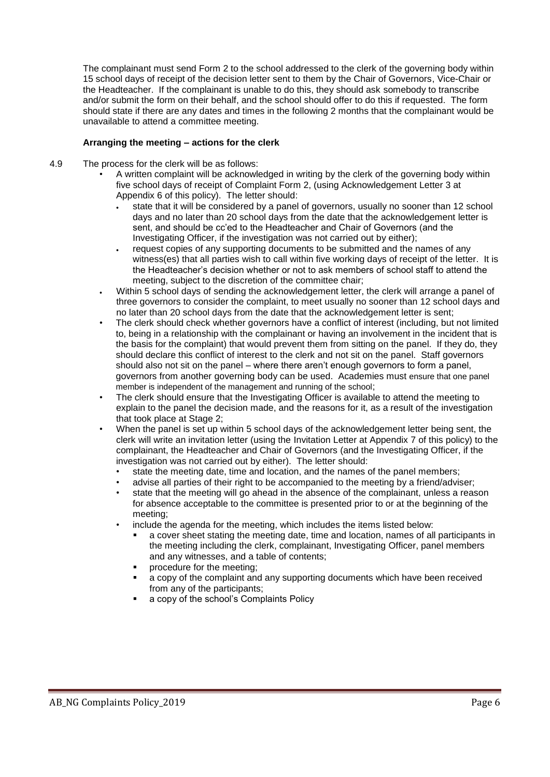The complainant must send Form 2 to the school addressed to the clerk of the governing body within 15 school days of receipt of the decision letter sent to them by the Chair of Governors, Vice-Chair or the Headteacher. If the complainant is unable to do this, they should ask somebody to transcribe and/or submit the form on their behalf, and the school should offer to do this if requested. The form should state if there are any dates and times in the following 2 months that the complainant would be unavailable to attend a committee meeting.

### **Arranging the meeting – actions for the clerk**

- 4.9 The process for the clerk will be as follows:
	- A written complaint will be acknowledged in writing by the clerk of the governing body within five school days of receipt of Complaint Form 2, (using Acknowledgement Letter 3 at Appendix 6 of this policy). The letter should:
		- state that it will be considered by a panel of governors, usually no sooner than 12 school days and no later than 20 school days from the date that the acknowledgement letter is sent, and should be cc'ed to the Headteacher and Chair of Governors (and the Investigating Officer, if the investigation was not carried out by either);
		- request copies of any supporting documents to be submitted and the names of any witness(es) that all parties wish to call within five working days of receipt of the letter. It is the Headteacher's decision whether or not to ask members of school staff to attend the meeting, subject to the discretion of the committee chair;
	- Within 5 school days of sending the acknowledgement letter, the clerk will arrange a panel of three governors to consider the complaint, to meet usually no sooner than 12 school days and no later than 20 school days from the date that the acknowledgement letter is sent;
	- The clerk should check whether governors have a conflict of interest (including, but not limited to, being in a relationship with the complainant or having an involvement in the incident that is the basis for the complaint) that would prevent them from sitting on the panel. If they do, they should declare this conflict of interest to the clerk and not sit on the panel. Staff governors should also not sit on the panel – where there aren't enough governors to form a panel, governors from another governing body can be used. Academies must ensure that one panel member is independent of the management and running of the school;
	- The clerk should ensure that the Investigating Officer is available to attend the meeting to explain to the panel the decision made, and the reasons for it, as a result of the investigation that took place at Stage 2;
	- When the panel is set up within 5 school days of the acknowledgement letter being sent, the clerk will write an invitation letter (using the Invitation Letter at Appendix 7 of this policy) to the complainant, the Headteacher and Chair of Governors (and the Investigating Officer, if the investigation was not carried out by either). The letter should:
		- state the meeting date, time and location, and the names of the panel members;
		- advise all parties of their right to be accompanied to the meeting by a friend/adviser;
		- state that the meeting will go ahead in the absence of the complainant, unless a reason for absence acceptable to the committee is presented prior to or at the beginning of the meeting;
		- include the agenda for the meeting, which includes the items listed below:
			- a cover sheet stating the meeting date, time and location, names of all participants in the meeting including the clerk, complainant, Investigating Officer, panel members and any witnesses, and a table of contents;
			- procedure for the meeting;
			- a copy of the complaint and any supporting documents which have been received from any of the participants;
			- a copy of the school's Complaints Policy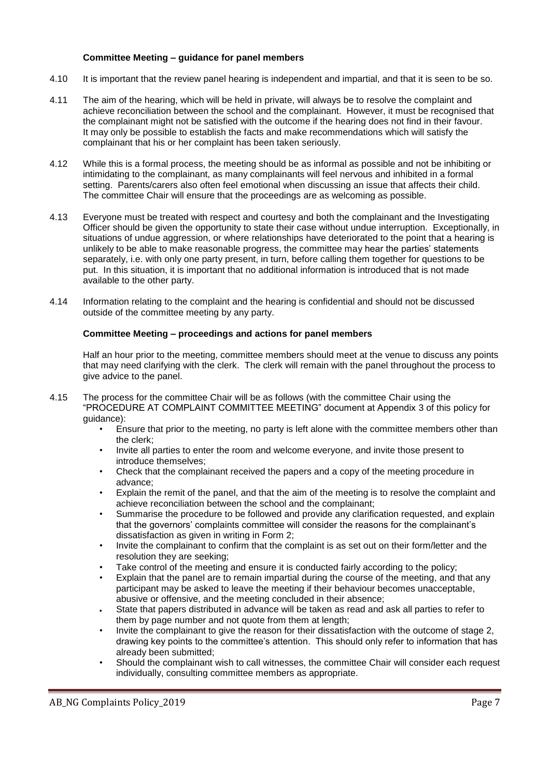### **Committee Meeting – guidance for panel members**

- 4.10 It is important that the review panel hearing is independent and impartial, and that it is seen to be so.
- 4.11 The aim of the hearing, which will be held in private, will always be to resolve the complaint and achieve reconciliation between the school and the complainant. However, it must be recognised that the complainant might not be satisfied with the outcome if the hearing does not find in their favour. It may only be possible to establish the facts and make recommendations which will satisfy the complainant that his or her complaint has been taken seriously.
- 4.12 While this is a formal process, the meeting should be as informal as possible and not be inhibiting or intimidating to the complainant, as many complainants will feel nervous and inhibited in a formal setting. Parents/carers also often feel emotional when discussing an issue that affects their child. The committee Chair will ensure that the proceedings are as welcoming as possible.
- 4.13 Everyone must be treated with respect and courtesy and both the complainant and the Investigating Officer should be given the opportunity to state their case without undue interruption. Exceptionally, in situations of undue aggression, or where relationships have deteriorated to the point that a hearing is unlikely to be able to make reasonable progress, the committee may hear the parties' statements separately, i.e. with only one party present, in turn, before calling them together for questions to be put. In this situation, it is important that no additional information is introduced that is not made available to the other party.
- 4.14 Information relating to the complaint and the hearing is confidential and should not be discussed outside of the committee meeting by any party.

### **Committee Meeting – proceedings and actions for panel members**

Half an hour prior to the meeting, committee members should meet at the venue to discuss any points that may need clarifying with the clerk. The clerk will remain with the panel throughout the process to give advice to the panel.

- 4.15 The process for the committee Chair will be as follows (with the committee Chair using the "PROCEDURE AT COMPLAINT COMMITTEE MEETING" document at Appendix 3 of this policy for guidance):
	- Ensure that prior to the meeting, no party is left alone with the committee members other than the clerk;
	- Invite all parties to enter the room and welcome everyone, and invite those present to introduce themselves;
	- Check that the complainant received the papers and a copy of the meeting procedure in advance;
	- Explain the remit of the panel, and that the aim of the meeting is to resolve the complaint and achieve reconciliation between the school and the complainant;
	- Summarise the procedure to be followed and provide any clarification requested, and explain that the governors' complaints committee will consider the reasons for the complainant's dissatisfaction as given in writing in Form 2;
	- Invite the complainant to confirm that the complaint is as set out on their form/letter and the resolution they are seeking;
	- Take control of the meeting and ensure it is conducted fairly according to the policy;
	- Explain that the panel are to remain impartial during the course of the meeting, and that any participant may be asked to leave the meeting if their behaviour becomes unacceptable, abusive or offensive, and the meeting concluded in their absence;
	- State that papers distributed in advance will be taken as read and ask all parties to refer to them by page number and not quote from them at length;
	- Invite the complainant to give the reason for their dissatisfaction with the outcome of stage 2, drawing key points to the committee's attention. This should only refer to information that has already been submitted;
	- Should the complainant wish to call witnesses, the committee Chair will consider each request individually, consulting committee members as appropriate.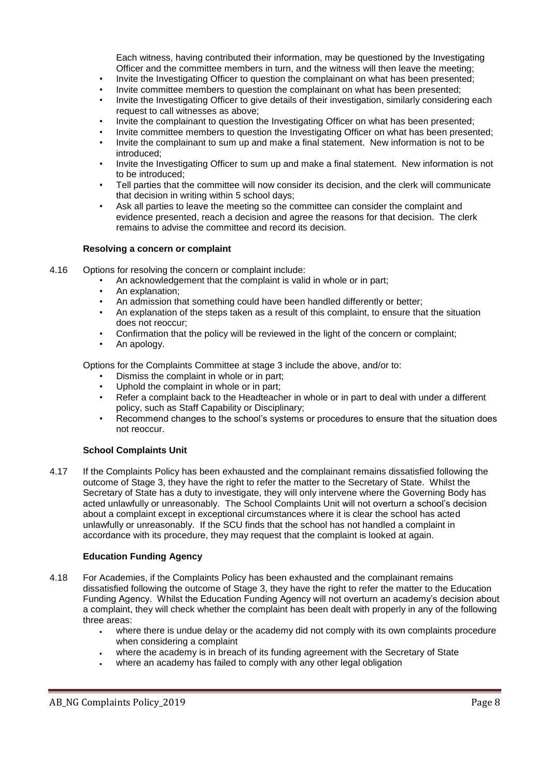Each witness, having contributed their information, may be questioned by the Investigating Officer and the committee members in turn, and the witness will then leave the meeting;

- Invite the Investigating Officer to question the complainant on what has been presented;
- Invite committee members to question the complainant on what has been presented;
- Invite the Investigating Officer to give details of their investigation, similarly considering each request to call witnesses as above;
- Invite the complainant to question the Investigating Officer on what has been presented;
- Invite committee members to question the Investigating Officer on what has been presented;
- Invite the complainant to sum up and make a final statement. New information is not to be introduced;
- Invite the Investigating Officer to sum up and make a final statement. New information is not to be introduced;
- Tell parties that the committee will now consider its decision, and the clerk will communicate that decision in writing within 5 school days;
- Ask all parties to leave the meeting so the committee can consider the complaint and evidence presented, reach a decision and agree the reasons for that decision. The clerk remains to advise the committee and record its decision.

### **Resolving a concern or complaint**

- 4.16 Options for resolving the concern or complaint include:
	- An acknowledgement that the complaint is valid in whole or in part;
	- An explanation:
	- An admission that something could have been handled differently or better;<br>• An explanation of the steps taken as a result of this complaint to ensure that
	- An explanation of the steps taken as a result of this complaint, to ensure that the situation does not reoccur;
	- Confirmation that the policy will be reviewed in the light of the concern or complaint;
	- An apology.

Options for the Complaints Committee at stage 3 include the above, and/or to:

- Dismiss the complaint in whole or in part;
- Uphold the complaint in whole or in part;
- Refer a complaint back to the Headteacher in whole or in part to deal with under a different policy, such as Staff Capability or Disciplinary;
- Recommend changes to the school's systems or procedures to ensure that the situation does not reoccur.

### **School Complaints Unit**

4.17 If the Complaints Policy has been exhausted and the complainant remains dissatisfied following the outcome of Stage 3, they have the right to refer the matter to the Secretary of State. Whilst the Secretary of State has a duty to investigate, they will only intervene where the Governing Body has acted unlawfully or unreasonably. The School Complaints Unit will not overturn a school's decision about a complaint except in exceptional circumstances where it is clear the school has acted unlawfully or unreasonably. If the SCU finds that the school has not handled a complaint in accordance with its procedure, they may request that the complaint is looked at again.

### **Education Funding Agency**

- 4.18 For Academies, if the Complaints Policy has been exhausted and the complainant remains dissatisfied following the outcome of Stage 3, they have the right to refer the matter to the Education Funding Agency. Whilst the Education Funding Agency will not overturn an academy's decision about a complaint, they will check whether the complaint has been dealt with properly in any of the following three areas:
	- where there is undue delay or the academy did not comply with its own complaints procedure when considering a complaint
	- where the academy is in breach of its funding agreement with the Secretary of State
	- where an academy has failed to comply with any other legal obligation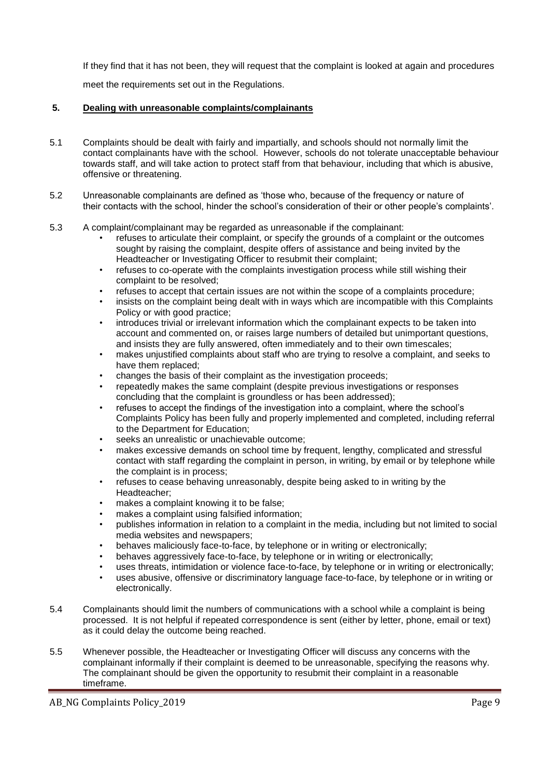If they find that it has not been, they will request that the complaint is looked at again and procedures

meet the requirements set out in the Regulations.

### **5. Dealing with unreasonable complaints/complainants**

- 5.1 Complaints should be dealt with fairly and impartially, and schools should not normally limit the contact complainants have with the school. However, schools do not tolerate unacceptable behaviour towards staff, and will take action to protect staff from that behaviour, including that which is abusive, offensive or threatening.
- 5.2 Unreasonable complainants are defined as 'those who, because of the frequency or nature of their contacts with the school, hinder the school's consideration of their or other people's complaints'.
- 5.3 A complaint/complainant may be regarded as unreasonable if the complainant:
	- refuses to articulate their complaint, or specify the grounds of a complaint or the outcomes sought by raising the complaint, despite offers of assistance and being invited by the Headteacher or Investigating Officer to resubmit their complaint;
	- refuses to co-operate with the complaints investigation process while still wishing their complaint to be resolved;
	- refuses to accept that certain issues are not within the scope of a complaints procedure;
	- insists on the complaint being dealt with in ways which are incompatible with this Complaints Policy or with good practice;
	- introduces trivial or irrelevant information which the complainant expects to be taken into account and commented on, or raises large numbers of detailed but unimportant questions, and insists they are fully answered, often immediately and to their own timescales;
	- makes unjustified complaints about staff who are trying to resolve a complaint, and seeks to have them replaced;
	- changes the basis of their complaint as the investigation proceeds;
	- repeatedly makes the same complaint (despite previous investigations or responses concluding that the complaint is groundless or has been addressed);
	- refuses to accept the findings of the investigation into a complaint, where the school's Complaints Policy has been fully and properly implemented and completed, including referral to the Department for Education;
	- seeks an unrealistic or unachievable outcome;
	- makes excessive demands on school time by frequent, lengthy, complicated and stressful contact with staff regarding the complaint in person, in writing, by email or by telephone while the complaint is in process;
	- refuses to cease behaving unreasonably, despite being asked to in writing by the Headteacher;
	- makes a complaint knowing it to be false;
	- makes a complaint using falsified information;
	- publishes information in relation to a complaint in the media, including but not limited to social media websites and newspapers;
	- behaves maliciously face-to-face, by telephone or in writing or electronically;
	- behaves aggressively face-to-face, by telephone or in writing or electronically;
	- uses threats, intimidation or violence face-to-face, by telephone or in writing or electronically;
	- uses abusive, offensive or discriminatory language face-to-face, by telephone or in writing or electronically.
- 5.4 Complainants should limit the numbers of communications with a school while a complaint is being processed. It is not helpful if repeated correspondence is sent (either by letter, phone, email or text) as it could delay the outcome being reached.
- 5.5 Whenever possible, the Headteacher or Investigating Officer will discuss any concerns with the complainant informally if their complaint is deemed to be unreasonable, specifying the reasons why. The complainant should be given the opportunity to resubmit their complaint in a reasonable timeframe.

AB\_NG Complaints Policy\_2019 Page 9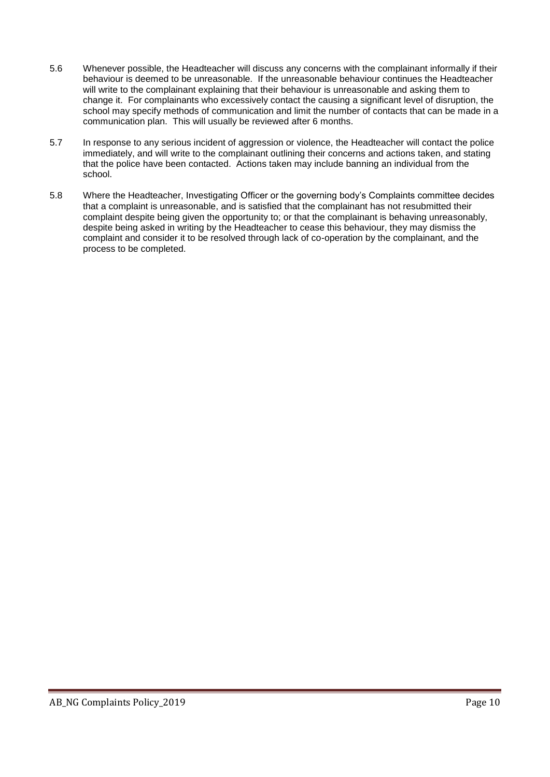- 5.6 Whenever possible, the Headteacher will discuss any concerns with the complainant informally if their behaviour is deemed to be unreasonable. If the unreasonable behaviour continues the Headteacher will write to the complainant explaining that their behaviour is unreasonable and asking them to change it. For complainants who excessively contact the causing a significant level of disruption, the school may specify methods of communication and limit the number of contacts that can be made in a communication plan. This will usually be reviewed after 6 months.
- 5.7 In response to any serious incident of aggression or violence, the Headteacher will contact the police immediately, and will write to the complainant outlining their concerns and actions taken, and stating that the police have been contacted. Actions taken may include banning an individual from the school.
- 5.8 Where the Headteacher, Investigating Officer or the governing body's Complaints committee decides that a complaint is unreasonable, and is satisfied that the complainant has not resubmitted their complaint despite being given the opportunity to; or that the complainant is behaving unreasonably, despite being asked in writing by the Headteacher to cease this behaviour, they may dismiss the complaint and consider it to be resolved through lack of co-operation by the complainant, and the process to be completed.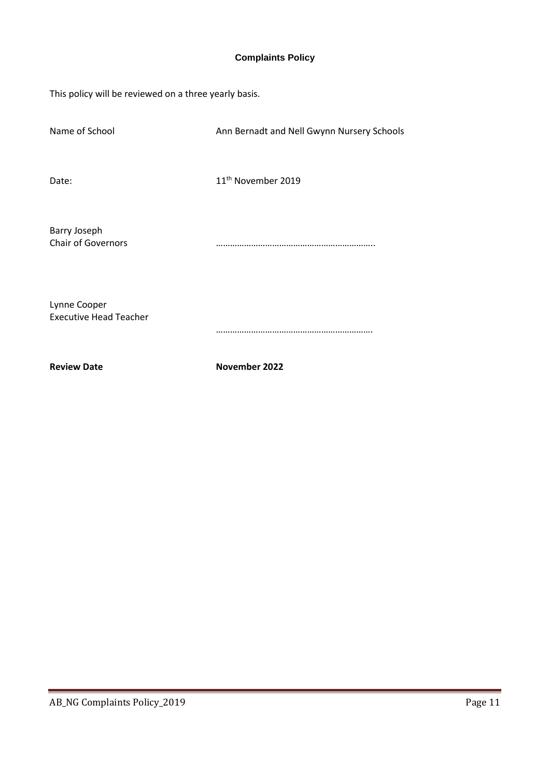### **Complaints Policy**

This policy will be reviewed on a three yearly basis.

| <b>Review Date</b>                            | November 2022                              |
|-----------------------------------------------|--------------------------------------------|
| Lynne Cooper<br><b>Executive Head Teacher</b> |                                            |
| Barry Joseph<br><b>Chair of Governors</b>     |                                            |
| Date:                                         | 11 <sup>th</sup> November 2019             |
| Name of School                                | Ann Bernadt and Nell Gwynn Nursery Schools |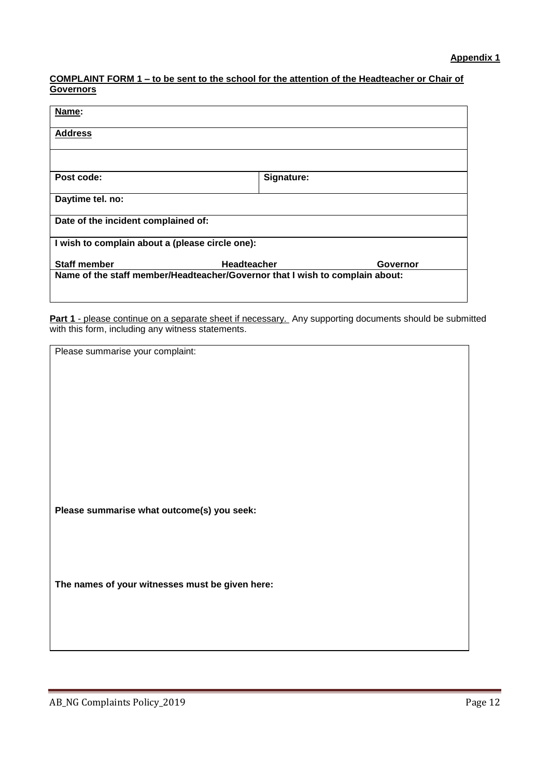### **COMPLAINT FORM 1 – to be sent to the school for the attention of the Headteacher or Chair of Governors**

| Name:                                                                        |                                |  |  |
|------------------------------------------------------------------------------|--------------------------------|--|--|
| <b>Address</b>                                                               |                                |  |  |
|                                                                              |                                |  |  |
| Post code:                                                                   | Signature:                     |  |  |
| Daytime tel. no:                                                             |                                |  |  |
| Date of the incident complained of:                                          |                                |  |  |
| I wish to complain about a (please circle one):                              |                                |  |  |
| <b>Staff member</b>                                                          | <b>Headteacher</b><br>Governor |  |  |
| Name of the staff member/Headteacher/Governor that I wish to complain about: |                                |  |  |

Part 1 - please continue on a separate sheet if necessary. Any supporting documents should be submitted with this form, including any witness statements.

| Please summarise your complaint:                |
|-------------------------------------------------|
|                                                 |
|                                                 |
|                                                 |
|                                                 |
|                                                 |
|                                                 |
|                                                 |
|                                                 |
|                                                 |
|                                                 |
|                                                 |
|                                                 |
|                                                 |
|                                                 |
|                                                 |
|                                                 |
| Please summarise what outcome(s) you seek:      |
|                                                 |
|                                                 |
|                                                 |
|                                                 |
|                                                 |
|                                                 |
|                                                 |
| The names of your witnesses must be given here: |
|                                                 |
|                                                 |
|                                                 |
|                                                 |
|                                                 |
|                                                 |
|                                                 |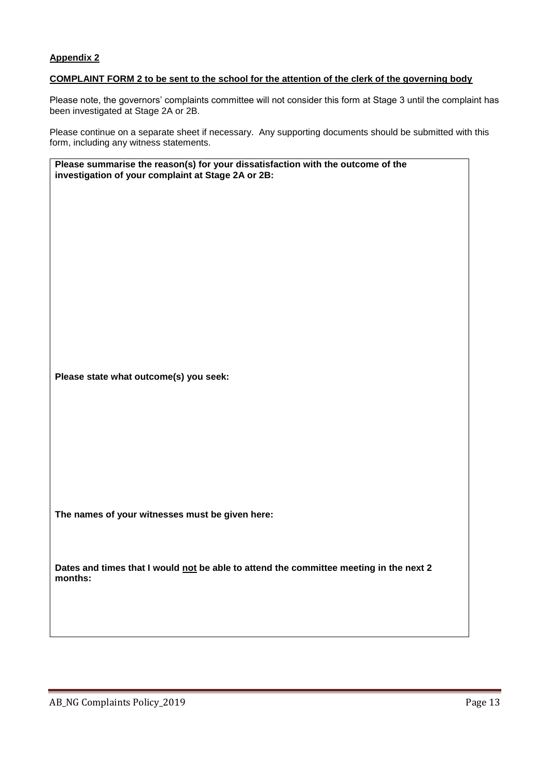### **COMPLAINT FORM 2 to be sent to the school for the attention of the clerk of the governing body**

Please note, the governors' complaints committee will not consider this form at Stage 3 until the complaint has been investigated at Stage 2A or 2B.

Please continue on a separate sheet if necessary. Any supporting documents should be submitted with this form, including any witness statements.

**Please summarise the reason(s) for your dissatisfaction with the outcome of the investigation of your complaint at Stage 2A or 2B:** 

**Please state what outcome(s) you seek:**

**The names of your witnesses must be given here:**

Dates and times that I would not be able to attend the committee meeting in the next 2 **months:**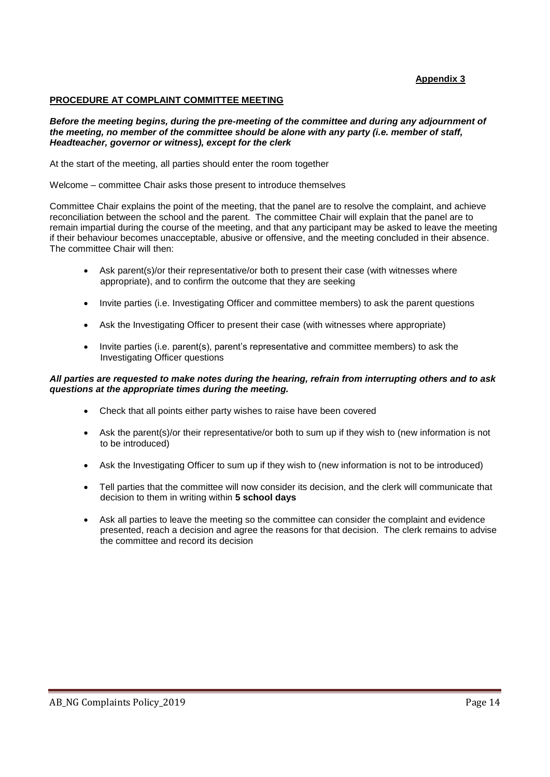### **PROCEDURE AT COMPLAINT COMMITTEE MEETING**

*Before the meeting begins, during the pre-meeting of the committee and during any adjournment of the meeting, no member of the committee should be alone with any party (i.e. member of staff, Headteacher, governor or witness), except for the clerk* 

At the start of the meeting, all parties should enter the room together

Welcome – committee Chair asks those present to introduce themselves

Committee Chair explains the point of the meeting, that the panel are to resolve the complaint, and achieve reconciliation between the school and the parent. The committee Chair will explain that the panel are to remain impartial during the course of the meeting, and that any participant may be asked to leave the meeting if their behaviour becomes unacceptable, abusive or offensive, and the meeting concluded in their absence. The committee Chair will then:

- Ask parent(s)/or their representative/or both to present their case (with witnesses where appropriate), and to confirm the outcome that they are seeking
- Invite parties (i.e. Investigating Officer and committee members) to ask the parent questions
- Ask the Investigating Officer to present their case (with witnesses where appropriate)
- Invite parties (i.e. parent(s), parent's representative and committee members) to ask the Investigating Officer questions

### *All parties are requested to make notes during the hearing, refrain from interrupting others and to ask questions at the appropriate times during the meeting.*

- Check that all points either party wishes to raise have been covered
- Ask the parent(s)/or their representative/or both to sum up if they wish to (new information is not to be introduced)
- Ask the Investigating Officer to sum up if they wish to (new information is not to be introduced)
- Tell parties that the committee will now consider its decision, and the clerk will communicate that decision to them in writing within **5 school days**
- Ask all parties to leave the meeting so the committee can consider the complaint and evidence presented, reach a decision and agree the reasons for that decision. The clerk remains to advise the committee and record its decision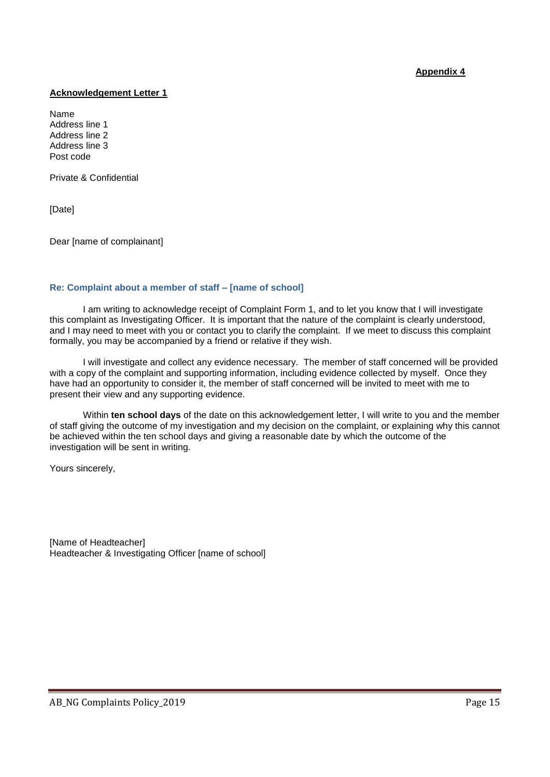### **Acknowledgement Letter 1**

Name Address line 1 Address line 2 Address line 3 Post code

Private & Confidential

[Date]

Dear [name of complainant]

### **Re: Complaint about a member of staff – [name of school]**

I am writing to acknowledge receipt of Complaint Form 1, and to let you know that I will investigate this complaint as Investigating Officer. It is important that the nature of the complaint is clearly understood, and I may need to meet with you or contact you to clarify the complaint. If we meet to discuss this complaint formally, you may be accompanied by a friend or relative if they wish.

I will investigate and collect any evidence necessary. The member of staff concerned will be provided with a copy of the complaint and supporting information, including evidence collected by myself. Once they have had an opportunity to consider it, the member of staff concerned will be invited to meet with me to present their view and any supporting evidence.

Within **ten school days** of the date on this acknowledgement letter, I will write to you and the member of staff giving the outcome of my investigation and my decision on the complaint, or explaining why this cannot be achieved within the ten school days and giving a reasonable date by which the outcome of the investigation will be sent in writing.

Yours sincerely,

[Name of Headteacher] Headteacher & Investigating Officer [name of school]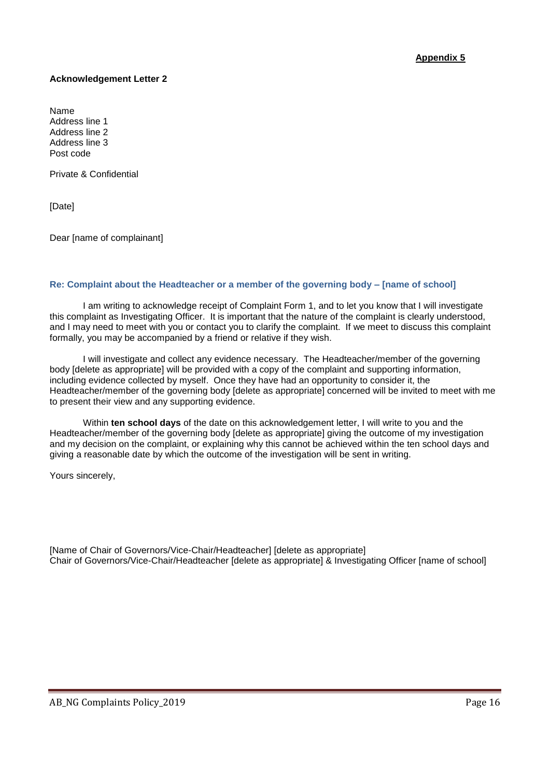### **Acknowledgement Letter 2**

Name Address line 1 Address line 2 Address line 3 Post code

Private & Confidential

[Date]

Dear [name of complainant]

### **Re: Complaint about the Headteacher or a member of the governing body – [name of school]**

I am writing to acknowledge receipt of Complaint Form 1, and to let you know that I will investigate this complaint as Investigating Officer. It is important that the nature of the complaint is clearly understood, and I may need to meet with you or contact you to clarify the complaint. If we meet to discuss this complaint formally, you may be accompanied by a friend or relative if they wish.

I will investigate and collect any evidence necessary. The Headteacher/member of the governing body [delete as appropriate] will be provided with a copy of the complaint and supporting information, including evidence collected by myself. Once they have had an opportunity to consider it, the Headteacher/member of the governing body [delete as appropriate] concerned will be invited to meet with me to present their view and any supporting evidence.

Within **ten school days** of the date on this acknowledgement letter, I will write to you and the Headteacher/member of the governing body [delete as appropriate] giving the outcome of my investigation and my decision on the complaint, or explaining why this cannot be achieved within the ten school days and giving a reasonable date by which the outcome of the investigation will be sent in writing.

Yours sincerely,

[Name of Chair of Governors/Vice-Chair/Headteacher] [delete as appropriate] Chair of Governors/Vice-Chair/Headteacher [delete as appropriate] & Investigating Officer [name of school]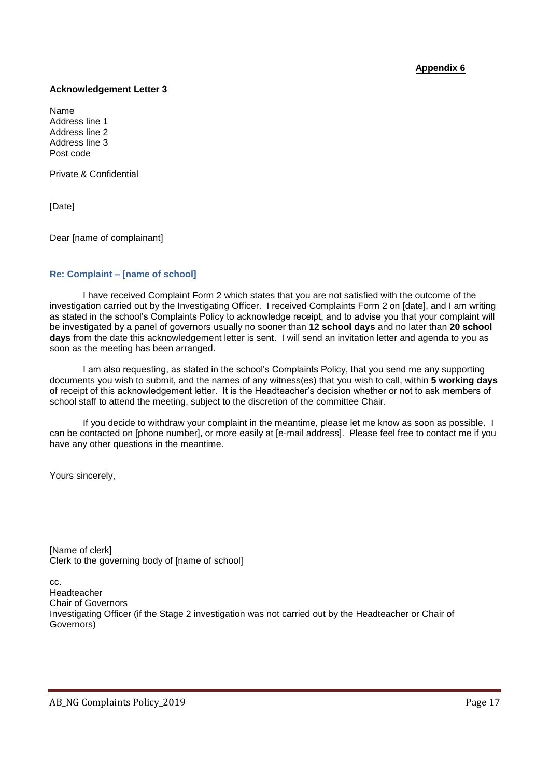### **Acknowledgement Letter 3**

Name Address line 1 Address line 2 Address line 3 Post code

Private & Confidential

[Date]

Dear [name of complainant]

### **Re: Complaint – [name of school]**

I have received Complaint Form 2 which states that you are not satisfied with the outcome of the investigation carried out by the Investigating Officer. I received Complaints Form 2 on [date], and I am writing as stated in the school's Complaints Policy to acknowledge receipt, and to advise you that your complaint will be investigated by a panel of governors usually no sooner than **12 school days** and no later than **20 school days** from the date this acknowledgement letter is sent. I will send an invitation letter and agenda to you as soon as the meeting has been arranged.

I am also requesting, as stated in the school's Complaints Policy, that you send me any supporting documents you wish to submit, and the names of any witness(es) that you wish to call, within **5 working days** of receipt of this acknowledgement letter. It is the Headteacher's decision whether or not to ask members of school staff to attend the meeting, subject to the discretion of the committee Chair.

If you decide to withdraw your complaint in the meantime, please let me know as soon as possible. I can be contacted on [phone number], or more easily at [e-mail address]. Please feel free to contact me if you have any other questions in the meantime.

Yours sincerely,

[Name of clerk] Clerk to the governing body of [name of school]

cc. Headteacher Chair of Governors Investigating Officer (if the Stage 2 investigation was not carried out by the Headteacher or Chair of Governors)